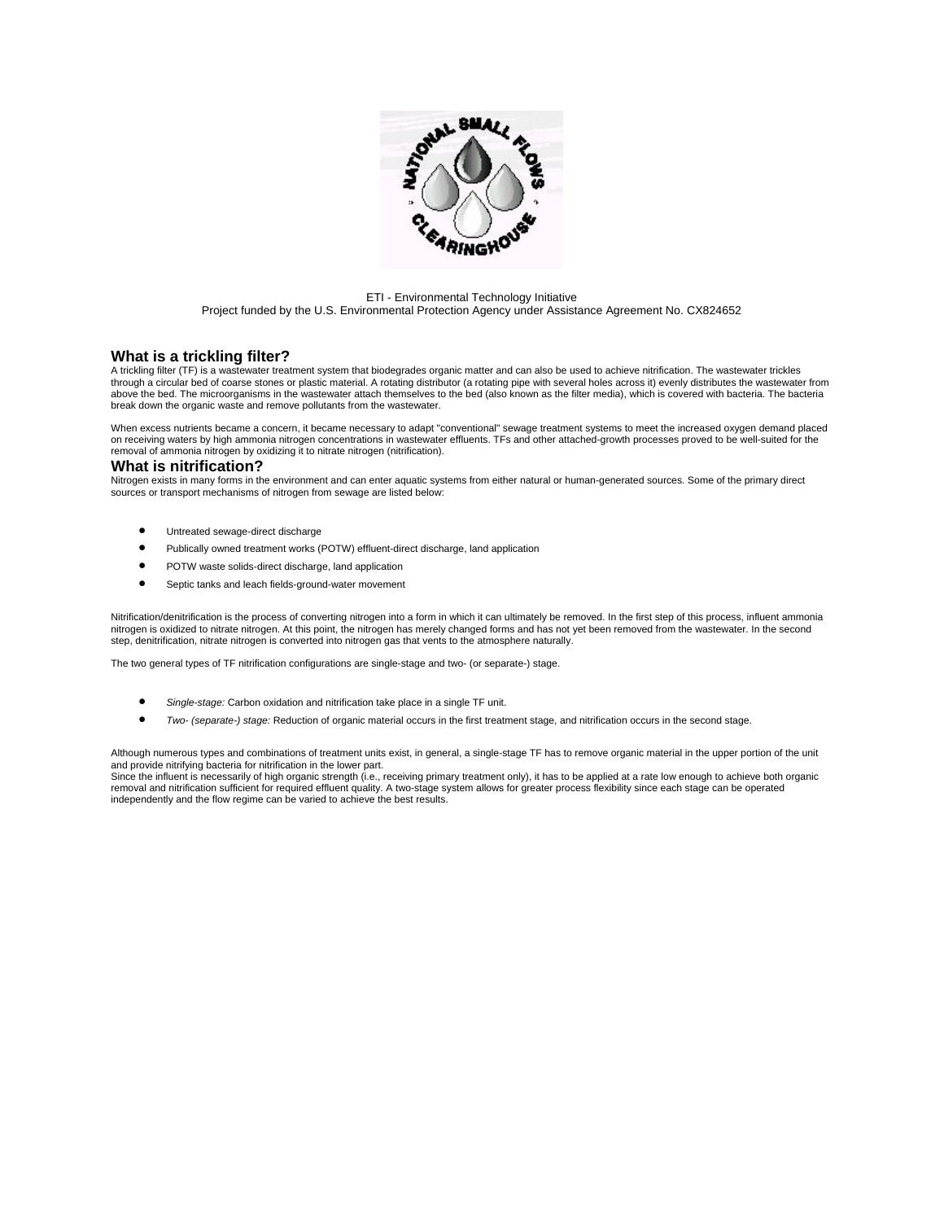

#### ETI - Environmental Technology Initiative Project funded by the U.S. Environmental Protection Agency under Assistance Agreement No. CX824652

## **What is a trickling filter?**

A trickling filter (TF) is a wastewater treatment system that biodegrades organic matter and can also be used to achieve nitrification. The wastewater trickles through a circular bed of coarse stones or plastic material. A rotating distributor (a rotating pipe with several holes across it) evenly distributes the wastewater from above the bed. The microorganisms in the wastewater attach themselves to the bed (also known as the filter media), which is covered with bacteria. The bacteria break down the organic waste and remove pollutants from the wastewater.

When excess nutrients became a concern, it became necessary to adapt "conventional" sewage treatment systems to meet the increased oxygen demand placed on receiving waters by high ammonia nitrogen concentrations in wastewater effluents. TFs and other attached-growth processes proved to be well-suited for the removal of ammonia nitrogen by oxidizing it to nitrate nitrogen (nitrification).

### **What is nitrification?**

Nitrogen exists in many forms in the environment and can enter aquatic systems from either natural or human-generated sources. Some of the primary direct sources or transport mechanisms of nitrogen from sewage are listed below:

- Untreated sewage-direct discharge
- Publically owned treatment works (POTW) effluent-direct discharge, land application
- POTW waste solids-direct discharge, land application
- Septic tanks and leach fields-ground-water movement

Nitrification/denitrification is the process of converting nitrogen into a form in which it can ultimately be removed. In the first step of this process, influent ammonia nitrogen is oxidized to nitrate nitrogen. At this point, the nitrogen has merely changed forms and has not yet been removed from the wastewater. In the second<br>step, denitrification, nitrate nitrogen is converted into nitro

The two general types of TF nitrification configurations are single-stage and two- (or separate-) stage.

- *Single-stage:* Carbon oxidation and nitrification take place in a single TF unit.
- *Two- (separate-) stage:* Reduction of organic material occurs in the first treatment stage, and nitrification occurs in the second stage.

Although numerous types and combinations of treatment units exist, in general, a single-stage TF has to remove organic material in the upper portion of the unit and provide nitrifying bacteria for nitrification in the lower part.

Since the influent is necessarily of high organic strength (i.e., receiving primary treatment only), it has to be applied at a rate low enough to achieve both organic removal and nitrification sufficient for required effluent quality. A two-stage system allows for greater process flexibility since each stage can be operated independently and the flow regime can be varied to achieve the best results.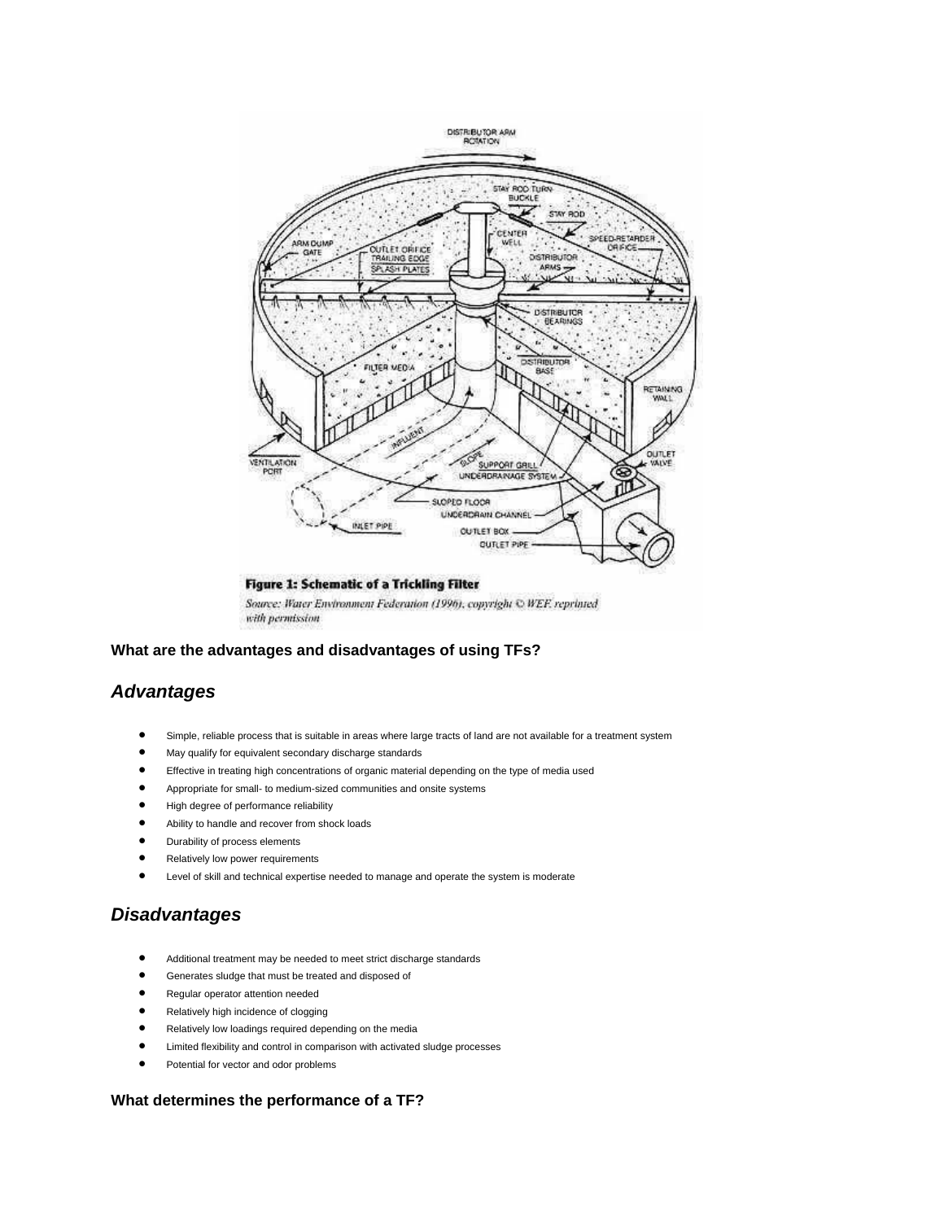

## Figure 1: Schematic of a Trickling Filter

Source: Water Environment Federation (1996), copyright © WEF. reprinted with permission

**What are the advantages and disadvantages of using TFs?**

# *Advantages*

- Simple, reliable process that is suitable in areas where large tracts of land are not available for a treatment system
- May qualify for equivalent secondary discharge standards
- Effective in treating high concentrations of organic material depending on the type of media used
- Appropriate for small- to medium-sized communities and onsite systems
- High degree of performance reliability
- Ability to handle and recover from shock loads
- Durability of process elements
- Relatively low power requirements
- Level of skill and technical expertise needed to manage and operate the system is moderate

# *Disadvantages*

- Additional treatment may be needed to meet strict discharge standards
- Generates sludge that must be treated and disposed of
- Regular operator attention needed
- Relatively high incidence of clogging
- Relatively low loadings required depending on the media
- Limited flexibility and control in comparison with activated sludge processes
- Potential for vector and odor problems

## **What determines the performance of a TF?**